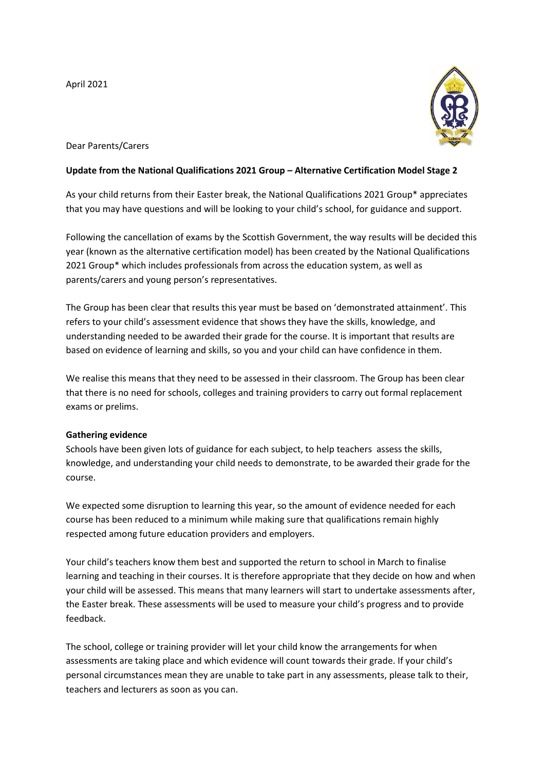April 2021



# Dear Parents/Carers

## **Update from the National Qualifications 2021 Group – Alternative Certification Model Stage 2**

As your child returns from their Easter break, the National Qualifications 2021 Group\* appreciates that you may have questions and will be looking to your child's school, for guidance and support.

Following the cancellation of exams by the Scottish Government, the way results will be decided this year (known as the alternative certification model) has been created by the National Qualifications 2021 Group\* which includes professionals from across the education system, as well as parents/carers and young person's representatives.

The Group has been clear that results this year must be based on 'demonstrated attainment'. This refers to your child's assessment evidence that shows they have the skills, knowledge, and understanding needed to be awarded their grade for the course. It is important that results are based on evidence of learning and skills, so you and your child can have confidence in them.

We realise this means that they need to be assessed in their classroom. The Group has been clear that there is no need for schools, colleges and training providers to carry out formal replacement exams or prelims.

#### **Gathering evidence**

Schools have been given lots of guidance for each subject, to help teachers assess the skills, knowledge, and understanding your child needs to demonstrate, to be awarded their grade for the course.

We expected some disruption to learning this year, so the amount of evidence needed for each course has been reduced to a minimum while making sure that qualifications remain highly respected among future education providers and employers.

Your child's teachers know them best and supported the return to school in March to finalise learning and teaching in their courses. It is therefore appropriate that they decide on how and when your child will be assessed. This means that many learners will start to undertake assessments after, the Easter break. These assessments will be used to measure your child's progress and to provide feedback.

The school, college or training provider will let your child know the arrangements for when assessments are taking place and which evidence will count towards their grade. If your child's personal circumstances mean they are unable to take part in any assessments, please talk to their, teachers and lecturers as soon as you can.